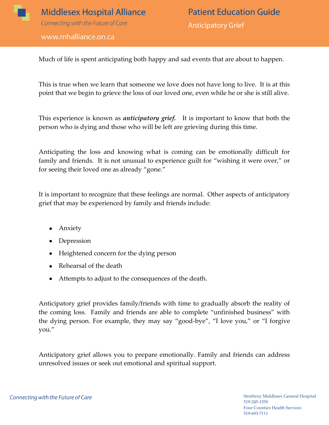

www.mhalliance.on.ca

Much of life is spent anticipating both happy and sad events that are about to happen.

This is true when we learn that someone we love does not have long to live. It is at this point that we begin to grieve the loss of our loved one, even while he or she is still alive.

This experience is known as *anticipatory grief.* It is important to know that both the person who is dying and those who will be left are grieving during this time.

Anticipating the loss and knowing what is coming can be emotionally difficult for family and friends. It is not unusual to experience guilt for "wishing it were over," or for seeing their loved one as already "gone."

It is important to recognize that these feelings are normal. Other aspects of anticipatory grief that may be experienced by family and friends include:

- Anxiety  $\bullet$
- Depression
- Heightened concern for the dying person
- Rehearsal of the death
- Attempts to adjust to the consequences of the death.

Anticipatory grief provides family/friends with time to gradually absorb the reality of the coming loss. Family and friends are able to complete "unfinished business" with the dying person. For example, they may say "good-bye", "I love you," or "I forgive you."

Anticipatory grief allows you to prepare emotionally. Family and friends can address unresolved issues or seek out emotional and spiritual support.